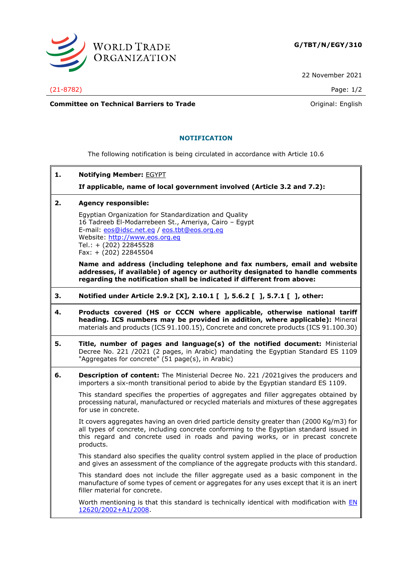

22 November 2021

(21-8782) Page: 1/2

**Committee on Technical Barriers to Trade Committee on Technical Barriers to Trade Original:** English

## **NOTIFICATION**

The following notification is being circulated in accordance with Article 10.6

**1. Notifying Member:** EGYPT

**If applicable, name of local government involved (Article 3.2 and 7.2):**

## **2. Agency responsible:**

Egyptian Organization for Standardization and Quality 16 Tadreeb El-Modarrebeen St., Ameriya, Cairo – Egypt E-mail: [eos@idsc.net.eg](mailto:eos@idsc.net.eg) / [eos.tbt@eos.org.eg](mailto:eos.tbt@eos.org.eg) Website: [http://www.eos.org.eg](http://www.eos.org.eg/) Tel.: + (202) 22845528 Fax: + (202) 22845504

**Name and address (including telephone and fax numbers, email and website addresses, if available) of agency or authority designated to handle comments regarding the notification shall be indicated if different from above:**

- **3. Notified under Article 2.9.2 [X], 2.10.1 [ ], 5.6.2 [ ], 5.7.1 [ ], other:**
- **4. Products covered (HS or CCCN where applicable, otherwise national tariff heading. ICS numbers may be provided in addition, where applicable):** Mineral materials and products (ICS 91.100.15), Concrete and concrete products (ICS 91.100.30)
- **5. Title, number of pages and language(s) of the notified document:** Ministerial Decree No. 221 /2021 (2 pages, in Arabic) mandating the Egyptian Standard ES 1109 "Aggregates for concrete" (51 page(s), in Arabic)
- **6. Description of content:** The Ministerial Decree No. 221 /2021gives the producers and importers a six-month transitional period to abide by the Egyptian standard ES 1109.

This standard specifies the properties of aggregates and filler aggregates obtained by processing natural, manufactured or recycled materials and mixtures of these aggregates for use in concrete.

It covers aggregates having an oven dried particle density greater than (2000 Kg/m3) for all types of concrete, including concrete conforming to the Egyptian standard issued in this regard and concrete used in roads and paving works, or in precast concrete products.

This standard also specifies the quality control system applied in the place of production and gives an assessment of the compliance of the aggregate products with this standard.

This standard does not include the filler aggregate used as a basic component in the manufacture of some types of cement or aggregates for any uses except that it is an inert filler material for concrete.

Worth mentioning is that this standard is technically identical with modification with EN [12620/2002+A1/2008.](https://shop.bsigroup.com/ProductDetail/?pid=000000000030152181)